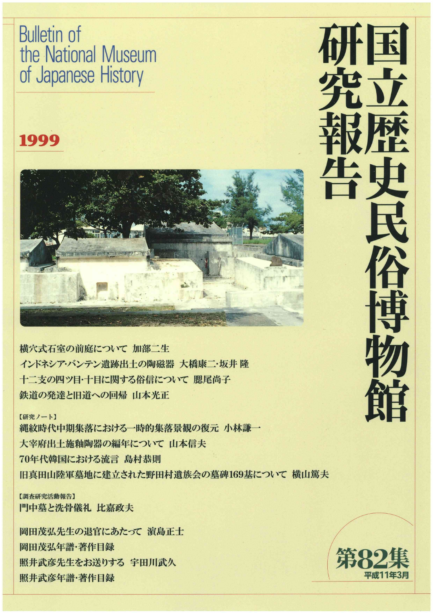Bulletin of the National Museum of Japanese History

### 1999



横穴式石室の前庭について加部二生 インドネシア・バンテン遺跡出土の陶磁器 大橋康二・坂井隆 十二支の四ツ目・十目に関する俗信について 腮尾尚子 鉄道の発達と旧道への回帰 山本光正

【研究ノート】

縄紋時代中期集落における一時的集落景観の復元 小林謙一 大宰府出土施釉陶器の編年について 山本信夫 70年代韓国における流言島村恭則 旧真田山陸軍墓地に建立された野田村遺族会の墓碑169基について 横山篤夫

【調査研究活動報告】 門中墓と洗骨儀礼 比嘉政夫

岡田茂弘先生の退官にあたって 濵島正士 岡田茂弘年譜・著作目録 照井武彦先生をお送りする 宇田川武久 画面及数平晶・着作目*家*<br>照井武彦先生をお送りする 宇田川武久<br>照井武彦年譜・著作目録



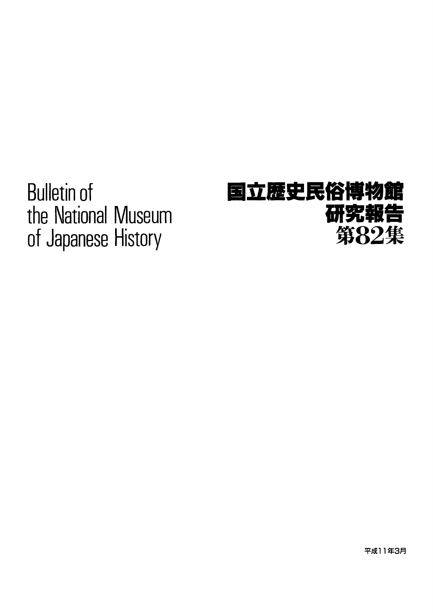Bulletin of the National Museum of Japanese History

## 国立歴史民俗博物館 研究報告 第82集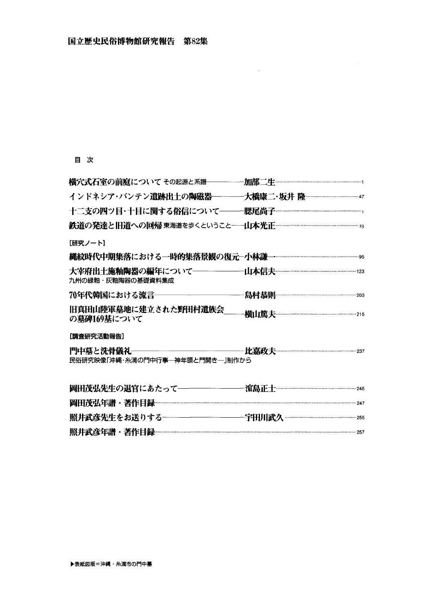#### 目 次

| 十二支の四ツ目・十目に関する俗信について―――腮尾尚子 <sup>……………………………………………</sup> |  |
|----------------------------------------------------------|--|
|                                                          |  |
| [研究ノート]                                                  |  |
|                                                          |  |
| 九州の緑釉・灰釉陶器の基礎資料集成                                        |  |
|                                                          |  |
| 旧真田山陸軍墓地に建立された野田村遺族会<br>の墓碑169基について                      |  |
| <b>[調査研究活動報告]</b>                                        |  |
| 民俗研究映像「沖縄・糸満の門中行事―神年頭と門開き―」制作から                          |  |
|                                                          |  |
|                                                          |  |
|                                                          |  |
|                                                          |  |

 $\sim 10^{-1}$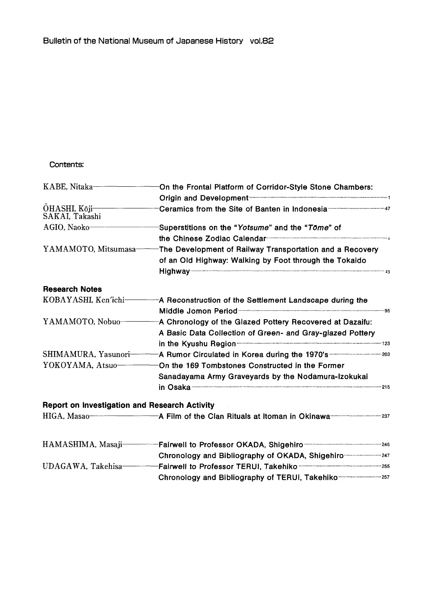#### Contents:

| KABE, Nitaka-                                        | On the Frontal Platform of Corridor-Style Stone Chambers:                                                                                                                                                                           |  |
|------------------------------------------------------|-------------------------------------------------------------------------------------------------------------------------------------------------------------------------------------------------------------------------------------|--|
|                                                      | Origin and Development <b>Constitution and Development</b> and Construction Construction and Construction and Construction and Construction and Construction and Construction and Construction and Construction and Construction an |  |
| OHASHI, Kōji-<br>SAKAI, Takashi                      |                                                                                                                                                                                                                                     |  |
| AGIO, Naoko                                          | Superstitions on the "Yotsume" and the "Tome" of                                                                                                                                                                                    |  |
|                                                      |                                                                                                                                                                                                                                     |  |
| YAMAMOTO, Mitsumasa-                                 | The Development of Railway Transportation and a Recovery                                                                                                                                                                            |  |
|                                                      | of an Old Highway: Walking by Foot through the Tokaido                                                                                                                                                                              |  |
|                                                      |                                                                                                                                                                                                                                     |  |
| <b>Research Notes</b>                                |                                                                                                                                                                                                                                     |  |
| KOBAYASHI, Ken'ichi-                                 | A Reconstruction of the Settlement Landscape during the                                                                                                                                                                             |  |
|                                                      |                                                                                                                                                                                                                                     |  |
| YAMAMOTO, Nobuo-                                     | A Chronology of the Glazed Pottery Recovered at Dazaifu:                                                                                                                                                                            |  |
|                                                      | A Basic Data Collection of Green- and Gray-glazed Pottery                                                                                                                                                                           |  |
|                                                      |                                                                                                                                                                                                                                     |  |
| SHIMAMURA, Yasunori-                                 | A Rumor Circulated in Korea during the 1970's manufacture 203                                                                                                                                                                       |  |
| YOKOYAMA, Atsuo-                                     | On the 169 Tombstones Constructed in the Former                                                                                                                                                                                     |  |
|                                                      | Sanadayama Army Graveyards by the Nodamura-Izokukai                                                                                                                                                                                 |  |
|                                                      |                                                                                                                                                                                                                                     |  |
| <b>Report on Investigation and Research Activity</b> |                                                                                                                                                                                                                                     |  |
|                                                      | HIGA, Masao-Theorem Theorem Theorem A Film of the Clan Rituals at Itoman in Okinawa Theorem 237                                                                                                                                     |  |
| HAMASHIMA, Masaji-                                   |                                                                                                                                                                                                                                     |  |
|                                                      | Chronology and Bibliography of OKADA, Shigehiro  247                                                                                                                                                                                |  |
| UDAGAWA. Takehisa-                                   |                                                                                                                                                                                                                                     |  |
|                                                      | Chronology and Bibliography of TERUI, Takehiko  257                                                                                                                                                                                 |  |
|                                                      |                                                                                                                                                                                                                                     |  |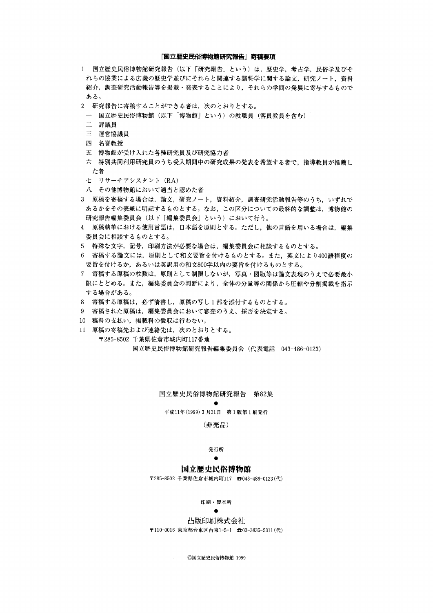#### 『国立歴史民俗博物館研究報告』寄稿要項

- 1 国立歴史民俗博物館研究報告(以下「研究報告」という)は,歴史学,考古学,民俗学及びそ れらの協業による広義の歴史学並びにそれらと関連する諸科学に関する論文,研究ノート,資料 紹介,調査研究活動報告等を掲載・発表することにより,それらの学問の発展に寄与するもので ある。
- 2 研究報告に寄稿することができる者は,次のとおりとする。
- 一 国立歴史民俗博物館(以下「博物館」という)の教職員(客員教員を含む)
- 二 評議員
- 三 運営協議員
- 四 名誉教授
- 五 博物館が受け入れた各種研究員及び研究協力者
- 六 特別共同利用研究員のうち受入期間中の研究成果の発表を希望する者で, 指導教員が推薦し た者
- 七リサーチアシスタント(RA)
- 八 その他博物館において適当と認めた者
- 3 原稿を寄稿する場合は,論文,研究ノート,資料紹介,調査研究活動報告等のうち,いずれで あるかをその表紙に明記するものとする。なお,この区分についての最終的な調整は,博物館の 研究報告編集委員会(以下「編集委員会」という)において行う。
- 4 原稿執筆における使用言語は,日本語を原則とする。ただし,他の言語を用いる場合は,編集 委員会に相談するものとする。
- 5 特殊な文字,記号,印刷方法が必要な場合は,編集委員会に相談するものとする。
- 6 寄稿する論文には,原則として和文要旨を付けるものとする。また,英文により400語程度の 要旨を付けるか,あるいは英訳用の和文800字以内の要旨を付けるものとする。
- 7 寄稿する原稿の枚数は,原則として制限しないが,写真・図版等は論文表現のうえで必要最小 限にとどめる。また,編集委員会の判断により,全体の分量等の関係から圧縮や分割掲載を指示 する場合がある。
- 8 寄稿する原稿は,必ず清書し,原稿の写し1部を添付するものとする。
- 9 寄稿された原稿は,編集委員会において審査のうえ、採否を決定する。

experience and the second second second

- 10稿料の支払い,掲載料の徴収は行わない。
- 11 原稿の寄稿先および連絡先は,次のとおりとする。 〒285-8502千葉県佐倉市城内町117番地

国立歴史民俗博物館研究報告編集委員会(代表電話 043-486-0123)

国立歴史民俗博物館研究報告 第82集

and the state of the state of the 平成11年(1999)3月31日 第1版第1刷発行

(非売品)

#### 発行所

#### 国立歴史民俗博物館

〒285-8502千葉県佐倉市城内町117 奮043-486-0123(代)

印刷・製本所

#### experience and the second second

 凸版印刷株式会社 〒110-0016東京都台東区台東1-5-1 aO3-3835-5311(代)

◎国立歴史民俗博物館1999